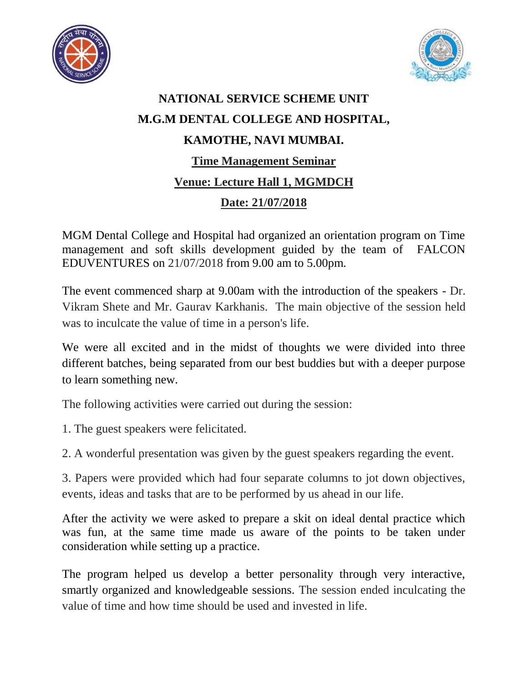



## **NATIONAL SERVICE SCHEME UNIT M.G.M DENTAL COLLEGE AND HOSPITAL, KAMOTHE, NAVI MUMBAI. Time Management Seminar Venue: Lecture Hall 1, MGMDCH Date: 21/07/2018**

MGM Dental College and Hospital had organized an orientation program on Time management and soft skills development guided by the team of FALCON EDUVENTURES on 21/07/2018 from 9.00 am to 5.00pm.

The event commenced sharp at 9.00am with the introduction of the speakers - Dr. Vikram Shete and Mr. Gaurav Karkhanis. The main objective of the session held was to inculcate the value of time in a person's life.

We were all excited and in the midst of thoughts we were divided into three different batches, being separated from our best buddies but with a deeper purpose to learn something new.

The following activities were carried out during the session:

1. The guest speakers were felicitated.

2. A wonderful presentation was given by the guest speakers regarding the event.

3. Papers were provided which had four separate columns to jot down objectives, events, ideas and tasks that are to be performed by us ahead in our life.

After the activity we were asked to prepare a skit on ideal dental practice which was fun, at the same time made us aware of the points to be taken under consideration while setting up a practice.

The program helped us develop a better personality through very interactive, smartly organized and knowledgeable sessions. The session ended inculcating the value of time and how time should be used and invested in life.